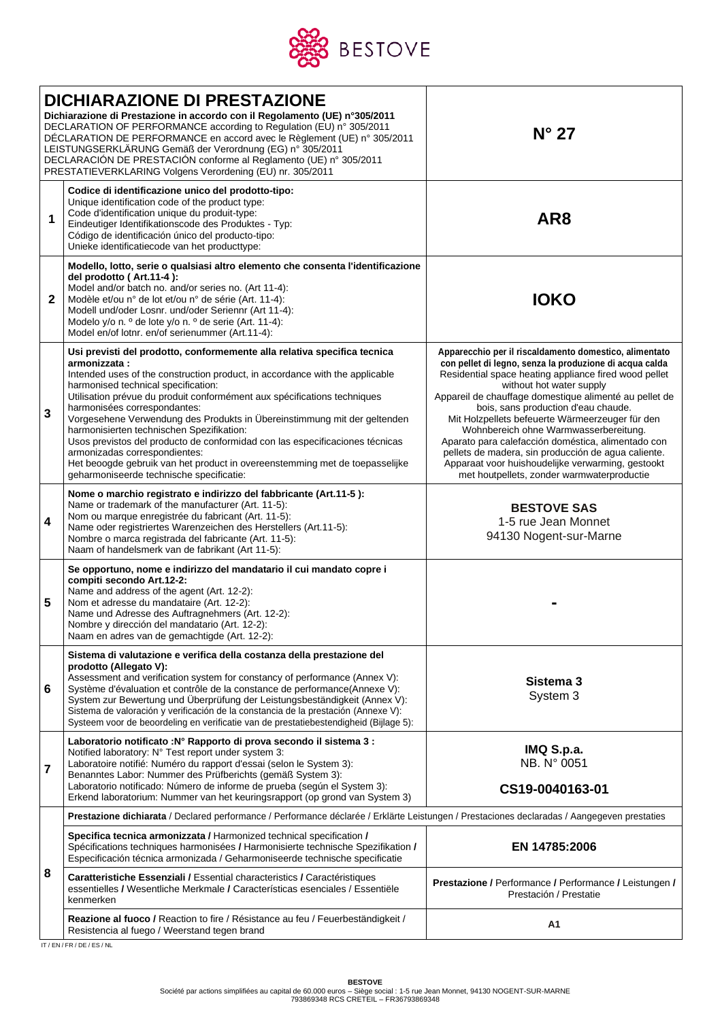

| <b>DICHIARAZIONE DI PRESTAZIONE</b><br>Dichiarazione di Prestazione in accordo con il Regolamento (UE) n°305/2011<br>DECLARATION OF PERFORMANCE according to Regulation (EU) n° 305/2011<br>DÉCLARATION DE PERFORMANCE en accord avec le Règlement (UE) n° 305/2011<br>LEISTUNGSERKLÄRUNG Gemäß der Verordnung (EG) n° 305/2011<br>DECLARACIÓN DE PRESTACIÓN conforme al Reglamento (UE) nº 305/2011<br>PRESTATIEVERKLARING Volgens Verordening (EU) nr. 305/2011 |                                                                                                                                                                                                                                                                                                                                                                                                                                                                                                                                                                                                                                                                                                  | $N^{\circ}$ 27                                                                                                                                                                                                                                                                                                                                                                                                                                                                                                                                                                                                      |  |  |  |
|-------------------------------------------------------------------------------------------------------------------------------------------------------------------------------------------------------------------------------------------------------------------------------------------------------------------------------------------------------------------------------------------------------------------------------------------------------------------|--------------------------------------------------------------------------------------------------------------------------------------------------------------------------------------------------------------------------------------------------------------------------------------------------------------------------------------------------------------------------------------------------------------------------------------------------------------------------------------------------------------------------------------------------------------------------------------------------------------------------------------------------------------------------------------------------|---------------------------------------------------------------------------------------------------------------------------------------------------------------------------------------------------------------------------------------------------------------------------------------------------------------------------------------------------------------------------------------------------------------------------------------------------------------------------------------------------------------------------------------------------------------------------------------------------------------------|--|--|--|
| 1                                                                                                                                                                                                                                                                                                                                                                                                                                                                 | Codice di identificazione unico del prodotto-tipo:<br>Unique identification code of the product type:<br>Code d'identification unique du produit-type:<br>Eindeutiger Identifikationscode des Produktes - Typ:<br>Código de identificación único del producto-tipo:<br>Unieke identificatiecode van het producttype:                                                                                                                                                                                                                                                                                                                                                                             | AR <sub>8</sub>                                                                                                                                                                                                                                                                                                                                                                                                                                                                                                                                                                                                     |  |  |  |
| $\mathbf{2}$                                                                                                                                                                                                                                                                                                                                                                                                                                                      | Modello, lotto, serie o qualsiasi altro elemento che consenta l'identificazione<br>del prodotto (Art.11-4):<br>Model and/or batch no. and/or series no. (Art 11-4):<br>Modèle et/ou n° de lot et/ou n° de série (Art. 11-4):<br>Modell und/oder Losnr. und/oder Seriennr (Art 11-4):<br>Modelo y/o n. º de lote y/o n. º de serie (Art. 11-4):<br>Model en/of lotnr, en/of serienummer (Art.11-4):                                                                                                                                                                                                                                                                                               | <b>IOKO</b>                                                                                                                                                                                                                                                                                                                                                                                                                                                                                                                                                                                                         |  |  |  |
| $\overline{\mathbf{3}}$                                                                                                                                                                                                                                                                                                                                                                                                                                           | Usi previsti del prodotto, conformemente alla relativa specifica tecnica<br>armonizzata:<br>Intended uses of the construction product, in accordance with the applicable<br>harmonised technical specification:<br>Utilisation prévue du produit conformément aux spécifications techniques<br>harmonisées correspondantes:<br>Vorgesehene Verwendung des Produkts in Übereinstimmung mit der geltenden<br>harmonisierten technischen Spezifikation:<br>Usos previstos del producto de conformidad con las especificaciones técnicas<br>armonizadas correspondientes:<br>Het beoogde gebruik van het product in overeenstemming met de toepasselijke<br>geharmoniseerde technische specificatie: | Apparecchio per il riscaldamento domestico, alimentato<br>con pellet di legno, senza la produzione di acqua calda<br>Residential space heating appliance fired wood pellet<br>without hot water supply<br>Appareil de chauffage domestique alimenté au pellet de<br>bois, sans production d'eau chaude.<br>Mit Holzpellets befeuerte Wärmeerzeuger für den<br>Wohnbereich ohne Warmwasserbereitung.<br>Aparato para calefacción doméstica, alimentado con<br>pellets de madera, sin producción de agua caliente.<br>Apparaat voor huishoudelijke verwarming, gestookt<br>met houtpellets, zonder warmwaterproductie |  |  |  |
| $\overline{4}$                                                                                                                                                                                                                                                                                                                                                                                                                                                    | Nome o marchio registrato e indirizzo del fabbricante (Art.11-5):<br>Name or trademark of the manufacturer (Art. 11-5):<br>Nom ou marque enregistrée du fabricant (Art. 11-5):<br>Name oder registriertes Warenzeichen des Herstellers (Art.11-5):<br>Nombre o marca registrada del fabricante (Art. 11-5):<br>Naam of handelsmerk van de fabrikant (Art 11-5):                                                                                                                                                                                                                                                                                                                                  | <b>BESTOVE SAS</b><br>1-5 rue Jean Monnet<br>94130 Nogent-sur-Marne                                                                                                                                                                                                                                                                                                                                                                                                                                                                                                                                                 |  |  |  |
| $5\phantom{1}$                                                                                                                                                                                                                                                                                                                                                                                                                                                    | Se opportuno, nome e indirizzo del mandatario il cui mandato copre i<br>compiti secondo Art.12-2:<br>Name and address of the agent (Art. 12-2):<br>Nom et adresse du mandataire (Art. 12-2):<br>Name und Adresse des Auftragnehmers (Art. 12-2):<br>Nombre y dirección del mandatario (Art. 12-2):<br>Naam en adres van de gemachtigde (Art. 12-2):                                                                                                                                                                                                                                                                                                                                              |                                                                                                                                                                                                                                                                                                                                                                                                                                                                                                                                                                                                                     |  |  |  |
| 6                                                                                                                                                                                                                                                                                                                                                                                                                                                                 | Sistema di valutazione e verifica della costanza della prestazione del<br>prodotto (Allegato V):<br>Assessment and verification system for constancy of performance (Annex V):<br>Système d'évaluation et contrôle de la constance de performance(Annexe V):<br>System zur Bewertung und Überprüfung der Leistungsbeständigkeit (Annex V):<br>Sistema de valoración y verificación de la constancia de la prestación (Annexe V):<br>Systeem voor de beoordeling en verificatie van de prestatiebestendigheid (Bijlage 5):                                                                                                                                                                        | Sistema 3<br>System 3                                                                                                                                                                                                                                                                                                                                                                                                                                                                                                                                                                                               |  |  |  |
| $\overline{7}$                                                                                                                                                                                                                                                                                                                                                                                                                                                    | Laboratorio notificato : Nº Rapporto di prova secondo il sistema 3 :<br>Notified laboratory: N° Test report under system 3:<br>Laboratoire notifié: Numéro du rapport d'essai (selon le System 3):<br>Benanntes Labor: Nummer des Prüfberichts (gemäß System 3):<br>Laboratorio notificado: Número de informe de prueba (según el System 3):<br>Erkend laboratorium: Nummer van het keuringsrapport (op grond van System 3)                                                                                                                                                                                                                                                                      | IMQ S.p.a.<br>NB. N° 0051<br>CS19-0040163-01                                                                                                                                                                                                                                                                                                                                                                                                                                                                                                                                                                        |  |  |  |
|                                                                                                                                                                                                                                                                                                                                                                                                                                                                   | Prestazione dichiarata / Declared performance / Performance déclarée / Erklärte Leistungen / Prestaciones declaradas / Aangegeven prestaties                                                                                                                                                                                                                                                                                                                                                                                                                                                                                                                                                     |                                                                                                                                                                                                                                                                                                                                                                                                                                                                                                                                                                                                                     |  |  |  |
| 8                                                                                                                                                                                                                                                                                                                                                                                                                                                                 | Specifica tecnica armonizzata / Harmonized technical specification /<br>Spécifications techniques harmonisées / Harmonisierte technische Spezifikation /<br>Especificación técnica armonizada / Geharmoniseerde technische specificatie                                                                                                                                                                                                                                                                                                                                                                                                                                                          | EN 14785:2006                                                                                                                                                                                                                                                                                                                                                                                                                                                                                                                                                                                                       |  |  |  |
|                                                                                                                                                                                                                                                                                                                                                                                                                                                                   | Caratteristiche Essenziali / Essential characteristics / Caractéristiques<br>essentielles / Wesentliche Merkmale / Características esenciales / Essentiële<br>kenmerken                                                                                                                                                                                                                                                                                                                                                                                                                                                                                                                          | Prestazione / Performance / Performance / Leistungen /<br>Prestación / Prestatie                                                                                                                                                                                                                                                                                                                                                                                                                                                                                                                                    |  |  |  |
|                                                                                                                                                                                                                                                                                                                                                                                                                                                                   | Reazione al fuoco / Reaction to fire / Résistance au feu / Feuerbeständigkeit /<br>Resistencia al fuego / Weerstand tegen brand                                                                                                                                                                                                                                                                                                                                                                                                                                                                                                                                                                  | Α1                                                                                                                                                                                                                                                                                                                                                                                                                                                                                                                                                                                                                  |  |  |  |

IT / EN / FR / DE / ES / NL